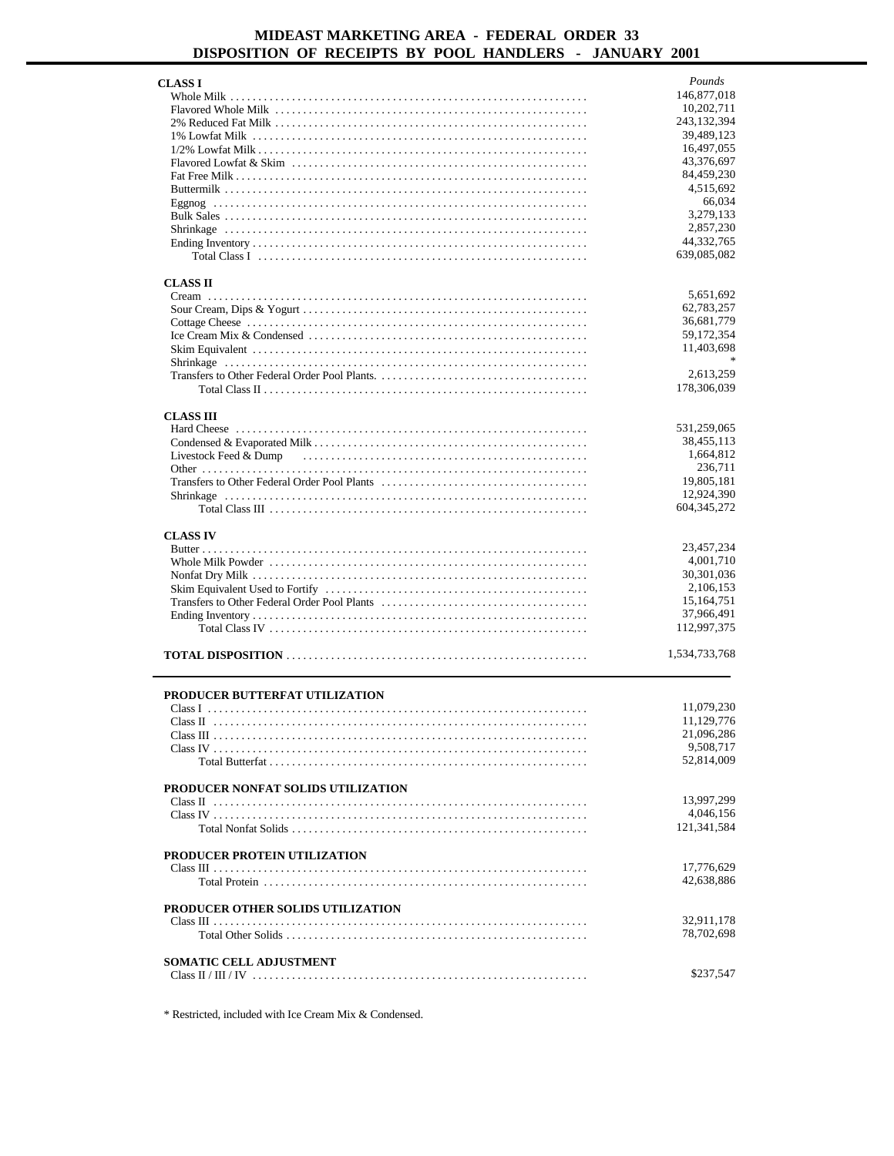| CLASS I                            | Pounds                  |
|------------------------------------|-------------------------|
|                                    | 146,877,018             |
|                                    | 10,202,711              |
|                                    | 243, 132, 394           |
|                                    | 39,489,123              |
|                                    | 16,497,055              |
|                                    | 43,376,697              |
|                                    | 84,459,230              |
|                                    | 4,515,692               |
|                                    | 66,034                  |
|                                    | 3,279,133               |
|                                    | 2,857,230<br>44,332,765 |
|                                    | 639,085,082             |
|                                    |                         |
| <b>CLASS II</b>                    |                         |
|                                    | 5,651,692               |
|                                    | 62,783,257              |
|                                    | 36,681,779              |
|                                    | 59, 172, 354            |
|                                    | 11,403,698              |
|                                    |                         |
|                                    | 2,613,259               |
|                                    | 178,306,039             |
|                                    |                         |
| <b>CLASS III</b>                   | 531,259,065             |
|                                    | 38,455,113              |
|                                    | 1,664,812               |
|                                    | 236,711                 |
|                                    | 19,805,181              |
|                                    | 12,924,390              |
|                                    | 604, 345, 272           |
|                                    |                         |
| <b>CLASS IV</b>                    |                         |
|                                    | 23,457,234              |
|                                    | 4,001,710               |
|                                    | 30,301,036              |
|                                    | 2,106,153               |
|                                    | 15,164,751              |
|                                    | 37,966,491              |
|                                    | 112,997,375             |
|                                    | 1,534,733,768           |
|                                    |                         |
|                                    |                         |
| PRODUCER BUTTERFAT UTILIZATION     |                         |
|                                    | 11,079,230              |
|                                    | 11,129,776              |
|                                    | 21,096,286<br>9,508,717 |
|                                    | 52,814,009              |
|                                    |                         |
|                                    |                         |
|                                    |                         |
| PRODUCER NONFAT SOLIDS UTILIZATION |                         |
|                                    | 13,997,299<br>4,046,156 |
|                                    | 121,341,584             |
|                                    |                         |
| PRODUCER PROTEIN UTILIZATION       |                         |
|                                    | 17,776,629              |
|                                    | 42,638,886              |
|                                    |                         |
| PRODUCER OTHER SOLIDS UTILIZATION  |                         |
|                                    | 32,911,178              |
|                                    | 78,702,698              |
|                                    |                         |
| SOMATIC CELL ADJUSTMENT            | \$237,547               |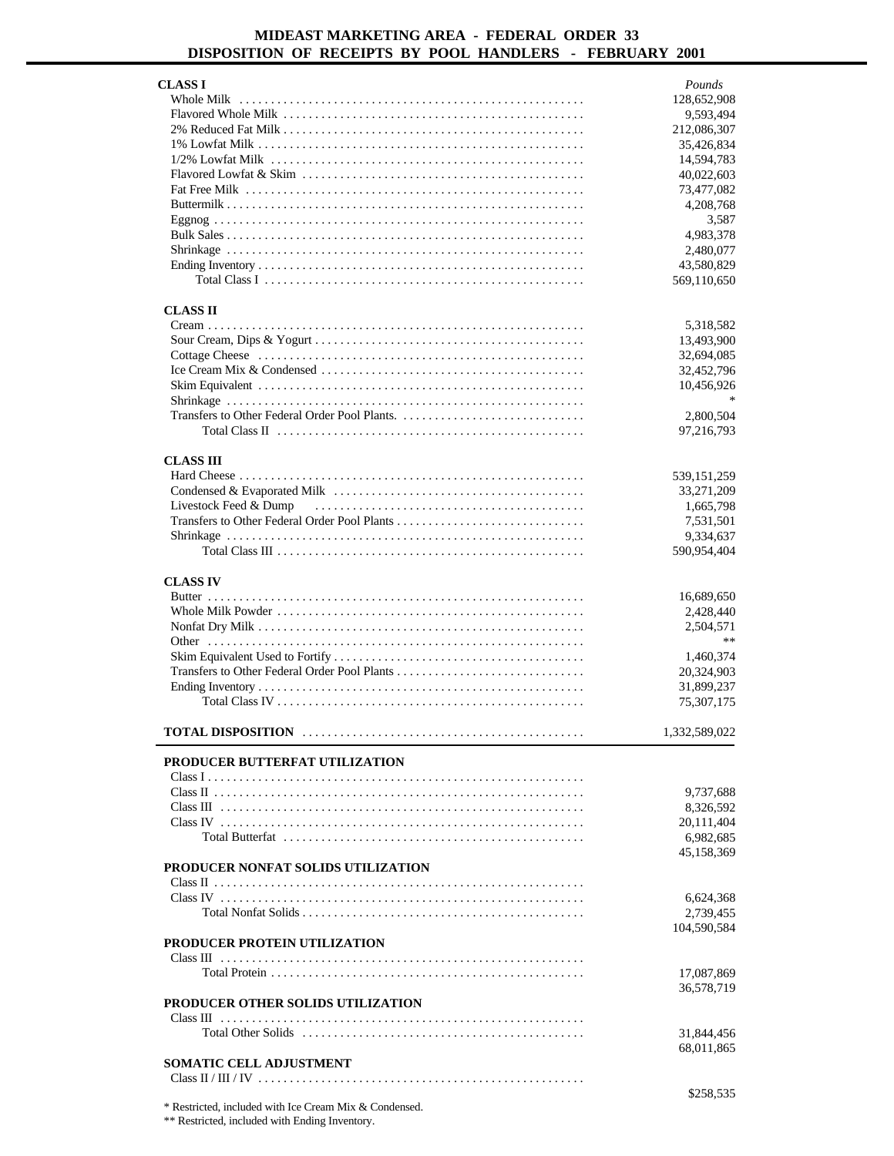| <b>CLASS I</b>                                | Pounds        |
|-----------------------------------------------|---------------|
|                                               | 128,652,908   |
|                                               | 9,593,494     |
|                                               | 212,086,307   |
|                                               | 35,426,834    |
|                                               | 14,594,783    |
|                                               | 40,022,603    |
|                                               | 73,477,082    |
|                                               |               |
|                                               | 4,208,768     |
|                                               | 3.587         |
|                                               | 4,983,378     |
|                                               | 2,480,077     |
|                                               | 43,580,829    |
|                                               | 569,110,650   |
|                                               |               |
| <b>CLASS II</b>                               |               |
|                                               | 5,318,582     |
|                                               | 13,493,900    |
|                                               | 32,694,085    |
|                                               | 32,452,796    |
|                                               | 10,456,926    |
|                                               |               |
| Transfers to Other Federal Order Pool Plants. | 2,800,504     |
|                                               | 97,216,793    |
|                                               |               |
| <b>CLASS III</b>                              |               |
|                                               | 539, 151, 259 |
|                                               | 33,271,209    |
|                                               |               |
| Livestock Feed & Dump                         | 1,665,798     |
|                                               | 7,531,501     |
|                                               | 9,334,637     |
|                                               | 590,954,404   |
|                                               |               |
| <b>CLASS IV</b>                               |               |
|                                               | 16,689,650    |
|                                               | 2,428,440     |
|                                               | 2,504,571     |
|                                               | **            |
|                                               | 1,460,374     |
| Transfers to Other Federal Order Pool Plants  | 20,324,903    |
|                                               |               |
|                                               | 31,899,237    |
|                                               | 75,307,175    |
|                                               | 1,332,589,022 |
|                                               |               |
| PRODUCER BUTTERFAT UTILIZATION                |               |
|                                               |               |
|                                               | 9,737,688     |
|                                               | 8,326,592     |
|                                               | 20,111,404    |
|                                               | 6,982,685     |
|                                               | 45,158,369    |
|                                               |               |
|                                               |               |
| PRODUCER NONFAT SOLIDS UTILIZATION            |               |
|                                               |               |
|                                               | 6,624,368     |
|                                               | 2,739,455     |
|                                               | 104,590,584   |
| PRODUCER PROTEIN UTILIZATION                  |               |
|                                               |               |
|                                               | 17,087,869    |
|                                               | 36,578,719    |
|                                               |               |
| PRODUCER OTHER SOLIDS UTILIZATION             |               |
|                                               |               |
|                                               | 31,844,456    |
|                                               | 68,011,865    |
| <b>SOMATIC CELL ADJUSTMENT</b>                |               |
|                                               | \$258,535     |

Restricted, included with Ice Cream Mix & Condensed.

\*\* Restricted, included with Ending Inventory.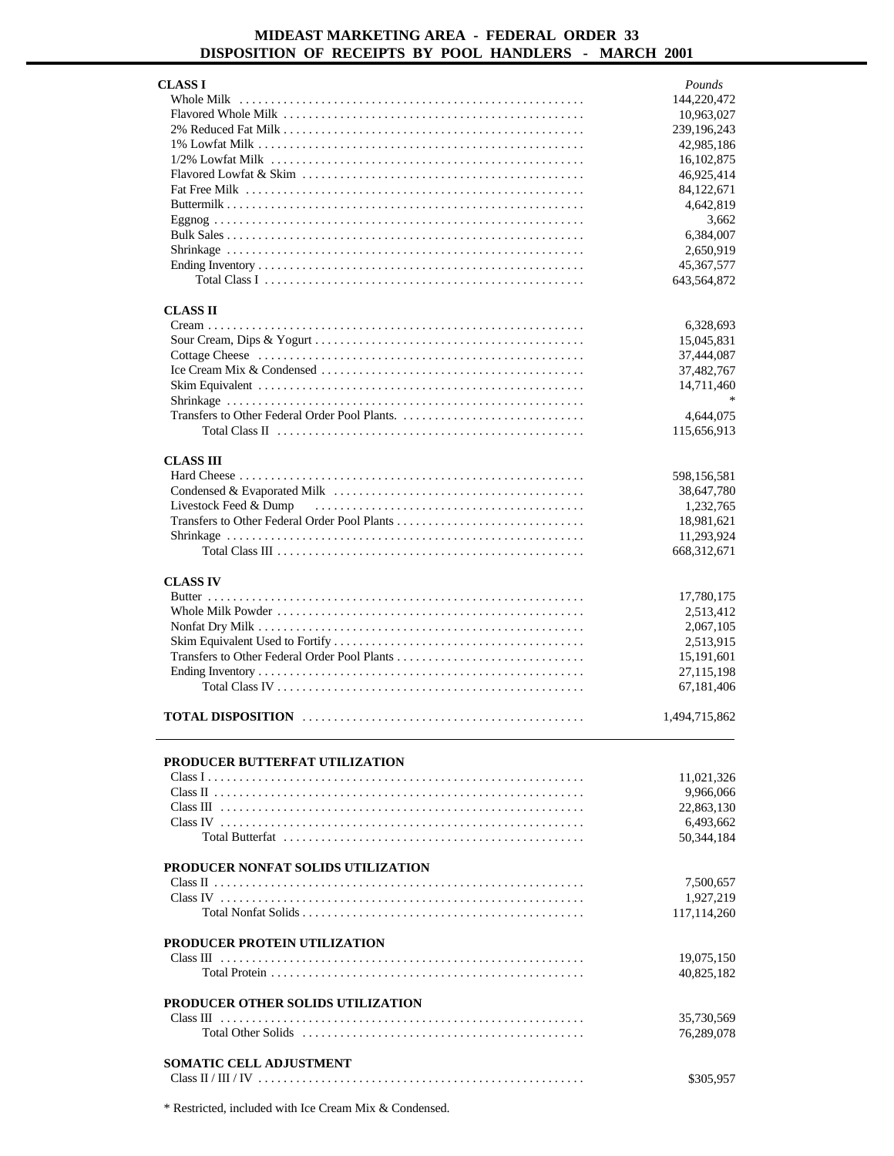| <b>CLASS I</b>                           | Pounds        |
|------------------------------------------|---------------|
|                                          | 144,220,472   |
|                                          | 10,963,027    |
|                                          | 239,196,243   |
|                                          | 42,985,186    |
|                                          | 16,102,875    |
|                                          | 46,925,414    |
|                                          | 84,122,671    |
|                                          | 4,642,819     |
|                                          | 3,662         |
|                                          | 6,384,007     |
|                                          | 2,650,919     |
|                                          | 45, 367, 577  |
|                                          | 643,564,872   |
|                                          |               |
| <b>CLASS II</b>                          |               |
|                                          |               |
|                                          | 6,328,693     |
|                                          | 15,045,831    |
|                                          | 37,444,087    |
|                                          | 37,482,767    |
|                                          | 14,711,460    |
|                                          |               |
|                                          | 4,644,075     |
|                                          | 115,656,913   |
|                                          |               |
| <b>CLASS III</b>                         |               |
|                                          | 598,156,581   |
|                                          | 38,647,780    |
|                                          | 1,232,765     |
|                                          | 18,981,621    |
|                                          | 11,293,924    |
|                                          | 668,312,671   |
|                                          |               |
|                                          |               |
| <b>CLASS IV</b>                          |               |
|                                          | 17,780,175    |
|                                          | 2,513,412     |
|                                          | 2,067,105     |
|                                          |               |
|                                          | 2,513,915     |
|                                          | 15, 191, 601  |
|                                          | 27,115,198    |
|                                          | 67,181,406    |
|                                          |               |
|                                          | 1,494,715,862 |
|                                          |               |
|                                          |               |
|                                          |               |
| PRODUCER BUTTERFAT UTILIZATION           |               |
|                                          | 11,021,326    |
|                                          | 9,966,066     |
|                                          | 22,863,130    |
|                                          | 6,493,662     |
| Total Butterfat                          | 50,344,184    |
|                                          |               |
| PRODUCER NONFAT SOLIDS UTILIZATION       |               |
|                                          | 7,500,657     |
|                                          | 1,927,219     |
|                                          | 117, 114, 260 |
|                                          |               |
| <b>PRODUCER PROTEIN UTILIZATION</b>      |               |
|                                          | 19,075,150    |
|                                          | 40,825,182    |
|                                          |               |
| <b>PRODUCER OTHER SOLIDS UTILIZATION</b> |               |
|                                          | 35,730,569    |
|                                          |               |
|                                          | 76,289,078    |
|                                          |               |
| <b>SOMATIC CELL ADJUSTMENT</b>           | \$305,957     |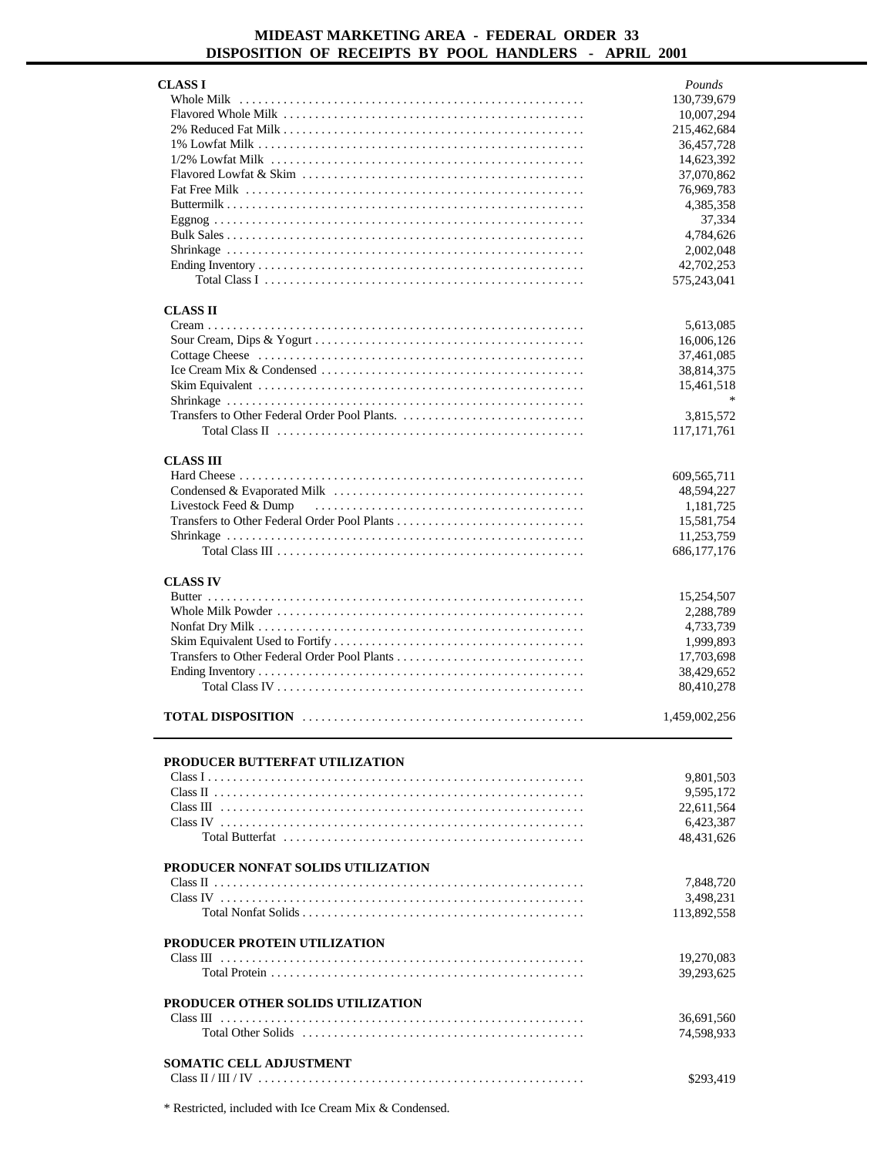| <b>CLASS I</b>                                                                                                         | Pounds        |
|------------------------------------------------------------------------------------------------------------------------|---------------|
|                                                                                                                        |               |
|                                                                                                                        | 130,739,679   |
|                                                                                                                        | 10,007,294    |
|                                                                                                                        | 215,462,684   |
|                                                                                                                        | 36,457,728    |
|                                                                                                                        | 14,623,392    |
|                                                                                                                        | 37,070,862    |
|                                                                                                                        |               |
|                                                                                                                        | 76,969,783    |
|                                                                                                                        | 4,385,358     |
|                                                                                                                        | 37,334        |
|                                                                                                                        | 4,784,626     |
|                                                                                                                        | 2,002,048     |
|                                                                                                                        |               |
|                                                                                                                        | 42,702,253    |
|                                                                                                                        | 575,243,041   |
|                                                                                                                        |               |
| <b>CLASS II</b>                                                                                                        |               |
|                                                                                                                        | 5,613,085     |
|                                                                                                                        |               |
|                                                                                                                        | 16,006,126    |
|                                                                                                                        | 37,461,085    |
| Ice Cream Mix & Condensed $\ldots \ldots \ldots \ldots \ldots \ldots \ldots \ldots \ldots \ldots \ldots \ldots \ldots$ | 38,814,375    |
|                                                                                                                        | 15,461,518    |
|                                                                                                                        | $\ast$        |
|                                                                                                                        |               |
|                                                                                                                        | 3,815,572     |
|                                                                                                                        | 117, 171, 761 |
|                                                                                                                        |               |
| <b>CLASS III</b>                                                                                                       |               |
|                                                                                                                        | 609,565,711   |
|                                                                                                                        | 48,594,227    |
|                                                                                                                        |               |
| Livestock Feed & Dump                                                                                                  | 1,181,725     |
|                                                                                                                        | 15,581,754    |
|                                                                                                                        | 11,253,759    |
|                                                                                                                        | 686, 177, 176 |
|                                                                                                                        |               |
|                                                                                                                        |               |
| <b>CLASS IV</b>                                                                                                        |               |
|                                                                                                                        |               |
|                                                                                                                        | 15,254,507    |
|                                                                                                                        | 2,288,789     |
|                                                                                                                        |               |
|                                                                                                                        | 4,733,739     |
|                                                                                                                        | 1,999,893     |
|                                                                                                                        | 17,703,698    |
|                                                                                                                        | 38,429,652    |
|                                                                                                                        | 80,410,278    |
|                                                                                                                        |               |
|                                                                                                                        |               |
|                                                                                                                        | 1,459,002,256 |
|                                                                                                                        |               |
|                                                                                                                        |               |
| PRODUCER BUTTERFAT UTILIZATION                                                                                         |               |
|                                                                                                                        | 9,801,503     |
|                                                                                                                        |               |
|                                                                                                                        | 9,595,172     |
|                                                                                                                        | 22,611,564    |
|                                                                                                                        | 6,423,387     |
| Total Butterfat                                                                                                        | 48,431,626    |
|                                                                                                                        |               |
|                                                                                                                        |               |
| PRODUCER NONFAT SOLIDS UTILIZATION                                                                                     |               |
|                                                                                                                        | 7,848,720     |
|                                                                                                                        | 3,498,231     |
|                                                                                                                        | 113,892,558   |
|                                                                                                                        |               |
| <b>PRODUCER PROTEIN UTILIZATION</b>                                                                                    |               |
|                                                                                                                        |               |
|                                                                                                                        | 19,270,083    |
|                                                                                                                        | 39,293,625    |
|                                                                                                                        |               |
| PRODUCER OTHER SOLIDS UTILIZATION                                                                                      |               |
|                                                                                                                        | 36,691,560    |
|                                                                                                                        |               |
|                                                                                                                        | 74,598,933    |
|                                                                                                                        |               |
| <b>SOMATIC CELL ADJUSTMENT</b>                                                                                         | \$293,419     |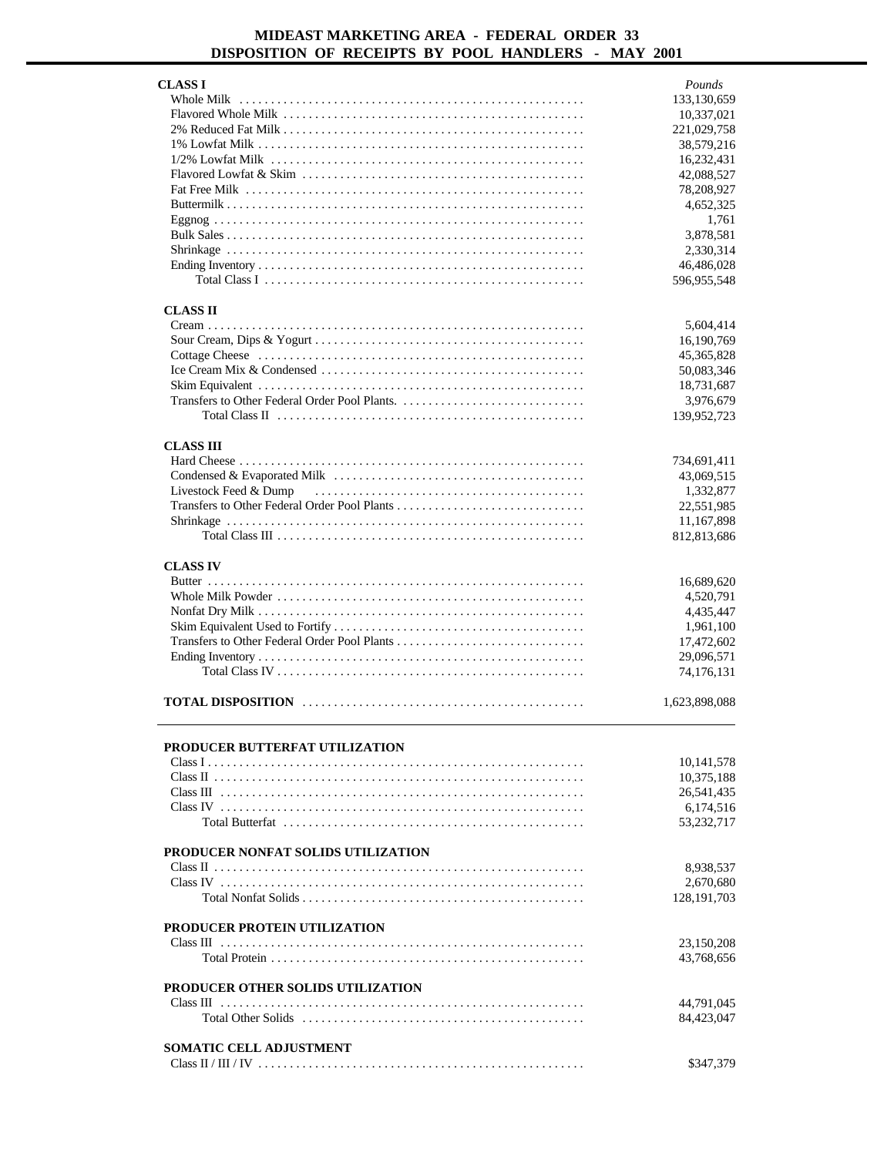| CLASS I                             | Pounds        |
|-------------------------------------|---------------|
|                                     | 133,130,659   |
|                                     | 10,337,021    |
|                                     | 221,029,758   |
|                                     | 38,579,216    |
|                                     | 16,232,431    |
|                                     | 42,088,527    |
|                                     | 78,208,927    |
|                                     | 4,652,325     |
|                                     | 1,761         |
|                                     | 3,878,581     |
|                                     | 2,330,314     |
|                                     | 46,486,028    |
|                                     | 596,955,548   |
|                                     |               |
| <b>CLASS II</b>                     |               |
|                                     | 5,604,414     |
|                                     | 16, 190, 769  |
|                                     | 45, 365, 828  |
|                                     | 50,083,346    |
|                                     | 18,731,687    |
|                                     | 3,976,679     |
|                                     | 139,952,723   |
| <b>CLASS III</b>                    |               |
|                                     | 734,691,411   |
|                                     | 43,069,515    |
| Livestock Feed & Dump               | 1,332,877     |
|                                     | 22,551,985    |
|                                     | 11,167,898    |
|                                     | 812,813,686   |
|                                     |               |
| <b>CLASS IV</b>                     |               |
|                                     | 16,689,620    |
|                                     | 4,520,791     |
|                                     | 4,435,447     |
|                                     | 1,961,100     |
|                                     | 17,472,602    |
|                                     | 29,096,571    |
|                                     | 74,176,131    |
|                                     | 1,623,898,088 |
|                                     |               |
| PRODUCER BUTTERFAT UTILIZATION      |               |
|                                     | 10,141,578    |
|                                     | 10,375,188    |
|                                     | 26,541,435    |
|                                     | 6,174,516     |
|                                     | 53,232,717    |
| PRODUCER NONFAT SOLIDS UTILIZATION  |               |
|                                     |               |
|                                     | 8,938,537     |
|                                     | 2,670,680     |
|                                     | 128, 191, 703 |
| <b>PRODUCER PROTEIN UTILIZATION</b> |               |
|                                     | 23,150,208    |
|                                     | 43,768,656    |
|                                     |               |
| PRODUCER OTHER SOLIDS UTILIZATION   |               |
|                                     | 44,791,045    |
|                                     | 84,423,047    |
|                                     |               |
| <b>SOMATIC CELL ADJUSTMENT</b>      |               |
|                                     | \$347,379     |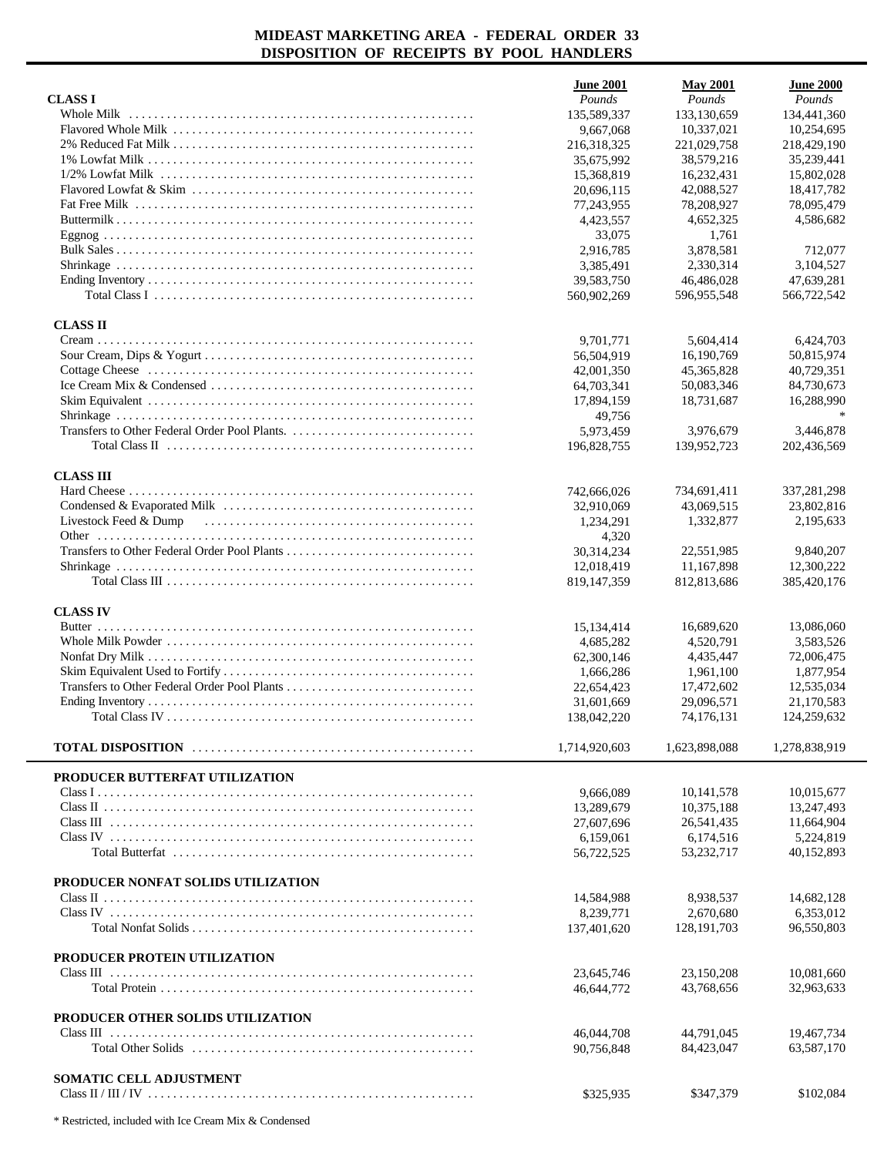|                                          | <b>June 2001</b>        | <b>May 2001</b>           | <b>June 2000</b>          |
|------------------------------------------|-------------------------|---------------------------|---------------------------|
| <b>CLASSI</b>                            | Pounds                  | Pounds                    | Pounds                    |
| Whole Milk                               | 135,589,337             | 133,130,659               | 134,441,360               |
|                                          | 9,667,068               | 10,337,021                | 10,254,695                |
|                                          | 216,318,325             | 221,029,758               | 218,429,190               |
|                                          | 35,675,992              | 38,579,216                | 35,239,441                |
|                                          | 15,368,819              | 16,232,431                | 15,802,028                |
|                                          | 20,696,115              | 42,088,527                | 18,417,782                |
|                                          | 77,243,955              | 78,208,927                | 78,095,479                |
|                                          | 4,423,557<br>33,075     | 4,652,325<br>1,761        | 4,586,682                 |
|                                          | 2,916,785               | 3,878,581                 | 712,077                   |
|                                          | 3,385,491               | 2,330,314                 | 3,104,527                 |
|                                          | 39,583,750              | 46,486,028                | 47,639,281                |
|                                          | 560,902,269             | 596,955,548               | 566,722,542               |
| <b>CLASS II</b>                          |                         |                           |                           |
|                                          | 9,701,771               | 5,604,414                 | 6,424,703                 |
|                                          | 56,504,919              | 16,190,769                | 50.815.974                |
|                                          | 42,001,350              | 45,365,828                | 40,729,351                |
|                                          | 64,703,341              | 50,083,346                | 84,730,673                |
|                                          | 17,894,159              | 18,731,687                | 16,288,990                |
|                                          | 49,756                  |                           |                           |
|                                          | 5,973,459               | 3.976.679                 | 3,446,878                 |
|                                          | 196,828,755             | 139,952,723               | 202,436,569               |
| <b>CLASS III</b>                         |                         |                           |                           |
|                                          | 742,666,026             | 734,691,411               | 337,281,298               |
|                                          | 32,910,069              | 43,069,515                | 23,802,816                |
| Livestock Feed & Dump                    | 1,234,291               | 1,332,877                 | 2,195,633                 |
|                                          | 4,320                   |                           |                           |
|                                          | 30,314,234              | 22,551,985                | 9,840,207                 |
|                                          | 12,018,419              | 11,167,898<br>812,813,686 | 12,300,222<br>385,420,176 |
|                                          | 819,147,359             |                           |                           |
| <b>CLASS IV</b>                          |                         |                           |                           |
|                                          | 15,134,414              | 16,689,620                | 13,086,060                |
|                                          | 4,685,282               | 4,520,791                 | 3,583,526                 |
|                                          | 62,300,146<br>1,666,286 | 4,435,447<br>1,961,100    | 72,006,475<br>1,877,954   |
|                                          | 22,654,423              | 17,472,602                | 12,535,034                |
|                                          | 31,601,669              | 29,096,571                | 21,170,583                |
|                                          | 138,042,220             | 74.176.131                | 124,259,632               |
|                                          | 1,714,920,603           | 1,623,898,088             | 1,278,838,919             |
|                                          |                         |                           |                           |
| PRODUCER BUTTERFAT UTILIZATION           |                         |                           |                           |
|                                          | 9,666,089               | 10,141,578                | 10,015,677                |
|                                          | 13,289,679              | 10,375,188                | 13,247,493                |
|                                          | 27,607,696<br>6,159,061 | 26,541,435<br>6,174,516   | 11,664,904<br>5,224,819   |
|                                          | 56,722,525              | 53,232,717                | 40,152,893                |
|                                          |                         |                           |                           |
| PRODUCER NONFAT SOLIDS UTILIZATION       |                         |                           |                           |
|                                          | 14,584,988              | 8,938,537                 | 14,682,128                |
|                                          | 8,239,771               | 2,670,680                 | 6,353,012                 |
|                                          | 137,401,620             | 128, 191, 703             | 96,550,803                |
| PRODUCER PROTEIN UTILIZATION             |                         |                           |                           |
|                                          | 23,645,746              | 23,150,208                | 10,081,660                |
|                                          | 46,644,772              | 43,768,656                | 32,963,633                |
| <b>PRODUCER OTHER SOLIDS UTILIZATION</b> |                         |                           |                           |
|                                          | 46,044,708              | 44,791,045                | 19,467,734                |
|                                          | 90,756,848              | 84,423,047                | 63,587,170                |
| <b>SOMATIC CELL ADJUSTMENT</b>           |                         |                           |                           |
|                                          | \$325,935               | \$347,379                 | \$102,084                 |
|                                          |                         |                           |                           |

 $\overline{a}$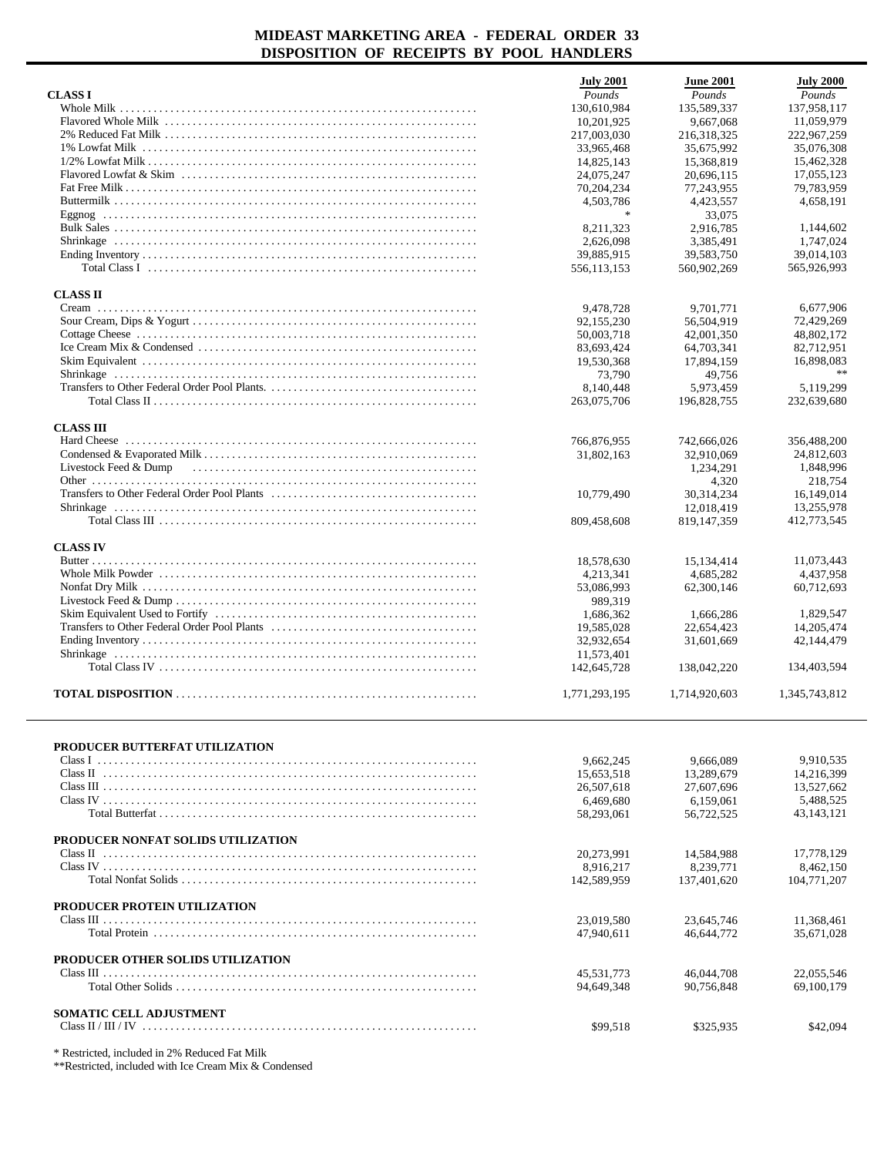| <b>CLASS I</b>                                                                                                                              | <b>July 2001</b><br>Pounds | <b>June 2001</b><br>Pounds | <b>July 2000</b><br>Pounds |
|---------------------------------------------------------------------------------------------------------------------------------------------|----------------------------|----------------------------|----------------------------|
|                                                                                                                                             | 130,610,984                | 135,589,337                | 137,958,117                |
|                                                                                                                                             | 10,201,925                 | 9.667.068                  | 11,059,979                 |
|                                                                                                                                             |                            | 216,318,325                | 222,967,259                |
|                                                                                                                                             | 217,003,030<br>33,965,468  |                            | 35,076,308                 |
|                                                                                                                                             |                            | 35,675,992                 |                            |
|                                                                                                                                             | 14,825,143                 | 15,368,819                 | 15,462,328                 |
|                                                                                                                                             | 24,075,247                 | 20,696,115                 | 17,055,123                 |
|                                                                                                                                             | 70,204,234                 | 77,243,955                 | 79,783,959                 |
|                                                                                                                                             | 4,503,786                  | 4,423,557                  | 4,658,191                  |
|                                                                                                                                             |                            | 33,075                     |                            |
|                                                                                                                                             | 8,211,323                  | 2,916,785                  | 1,144,602                  |
|                                                                                                                                             | 2,626,098                  | 3,385,491                  | 1.747.024                  |
|                                                                                                                                             | 39,885,915                 | 39,583,750                 | 39,014,103                 |
| Total Class I $\ldots$ $\ldots$ $\ldots$ $\ldots$ $\ldots$ $\ldots$ $\ldots$ $\ldots$ $\ldots$ $\ldots$ $\ldots$ $\ldots$ $\ldots$ $\ldots$ | 556,113,153                | 560,902,269                | 565,926,993                |
| <b>CLASS II</b>                                                                                                                             |                            |                            |                            |
|                                                                                                                                             | 9,478,728                  | 9,701,771                  | 6,677,906                  |
|                                                                                                                                             | 92,155,230                 | 56,504,919                 | 72,429,269                 |
|                                                                                                                                             | 50,003,718                 | 42,001,350                 | 48,802,172                 |
|                                                                                                                                             | 83,693,424                 | 64,703,341                 | 82,712,951                 |
|                                                                                                                                             | 19.530.368                 | 17,894,159                 | 16,898,083                 |
|                                                                                                                                             | 73,790                     | 49,756                     |                            |
|                                                                                                                                             | 8,140,448                  | 5,973,459                  | 5,119,299                  |
|                                                                                                                                             | 263,075,706                | 196,828,755                | 232,639,680                |
|                                                                                                                                             |                            |                            |                            |
| <b>CLASS III</b>                                                                                                                            |                            |                            |                            |
|                                                                                                                                             | 766,876,955                | 742,666,026                | 356,488,200                |
|                                                                                                                                             | 31,802,163                 | 32,910,069                 | 24,812,603                 |
| Livestock Feed & Dump                                                                                                                       |                            | 1,234,291                  | 1,848,996                  |
|                                                                                                                                             |                            | 4,320                      | 218,754                    |
|                                                                                                                                             | 10,779,490                 | 30,314,234                 | 16,149,014                 |
|                                                                                                                                             |                            | 12,018,419                 | 13,255,978                 |
|                                                                                                                                             | 809,458,608                | 819, 147, 359              | 412,773,545                |
|                                                                                                                                             |                            |                            |                            |
| <b>CLASS IV</b>                                                                                                                             |                            |                            |                            |
|                                                                                                                                             | 18,578,630                 | 15,134,414                 | 11,073,443                 |
|                                                                                                                                             | 4,213,341                  | 4,685,282                  | 4,437,958                  |
|                                                                                                                                             | 53,086,993                 | 62,300,146                 | 60,712,693                 |
|                                                                                                                                             | 989,319                    |                            |                            |
|                                                                                                                                             | 1,686,362                  | 1,666,286                  | 1,829,547                  |
|                                                                                                                                             | 19,585,028                 | 22,654,423                 | 14,205,474                 |
|                                                                                                                                             | 32,932,654                 | 31,601,669                 | 42,144,479                 |
|                                                                                                                                             | 11,573,401                 |                            |                            |
|                                                                                                                                             | 142,645,728                | 138,042,220                | 134,403,594                |
|                                                                                                                                             |                            |                            |                            |
|                                                                                                                                             | 1,771,293,195              | 1,714,920,603              | 1,345,743,812              |
|                                                                                                                                             |                            |                            |                            |
| PRODUCER BUTTERFAT UTILIZATION                                                                                                              |                            |                            |                            |
|                                                                                                                                             | 9,662,245                  | 9.666.089                  | 9,910,535                  |
|                                                                                                                                             | 15,653,518                 | 13.289.679                 | 14.216.399                 |
|                                                                                                                                             | 26,507,618                 | 27,607,696                 | 13,527,662                 |
|                                                                                                                                             | 6,469,680                  | 6,159,061                  | 5,488,525                  |
|                                                                                                                                             | 58,293,061                 | 56,722,525                 | 43,143,121                 |
| PRODUCER NONFAT SOLIDS UTILIZATION                                                                                                          |                            |                            |                            |
|                                                                                                                                             |                            |                            |                            |
|                                                                                                                                             | 20,273,991                 | 14,584,988                 | 17,778,129                 |
|                                                                                                                                             | 8,916,217                  | 8,239,771                  | 8,462,150                  |
|                                                                                                                                             | 142,589,959                | 137,401,620                | 104,771,207                |
| <b>PRODUCER PROTEIN UTILIZATION</b>                                                                                                         |                            |                            |                            |
|                                                                                                                                             | 23,019,580                 | 23,645,746                 | 11,368,461                 |
|                                                                                                                                             | 47,940,611                 | 46,644,772                 | 35,671,028                 |
| PRODUCER OTHER SOLIDS UTILIZATION                                                                                                           |                            |                            |                            |
|                                                                                                                                             | 45,531,773                 | 46,044,708                 | 22,055,546                 |
|                                                                                                                                             | 94,649,348                 | 90,756,848                 | 69,100,179                 |
| <b>SOMATIC CELL ADJUSTMENT</b>                                                                                                              |                            |                            |                            |
|                                                                                                                                             | \$99,518                   | \$325,935                  | \$42,094                   |
|                                                                                                                                             |                            |                            |                            |
| * Restricted, included in 2% Reduced Fat Milk                                                                                               |                            |                            |                            |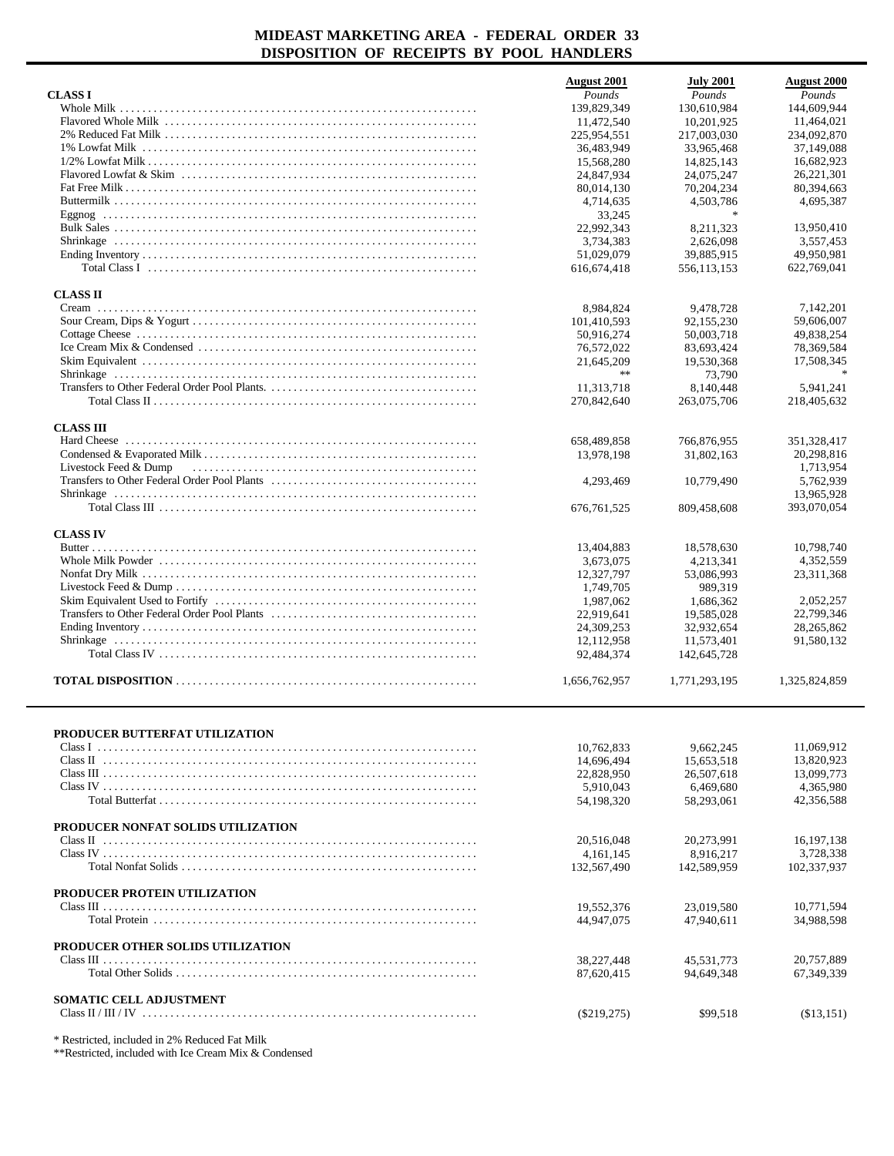|                                               | <b>August</b> 2001       | <b>July 2001</b>         | <b>August 2000</b>       |
|-----------------------------------------------|--------------------------|--------------------------|--------------------------|
| <b>CLASS I</b>                                | Pounds                   | Pounds                   | Pounds                   |
|                                               | 139,829,349              | 130.610.984              | 144,609,944              |
|                                               | 11,472,540               | 10,201,925               | 11,464,021               |
|                                               | 225,954,551              | 217,003,030              | 234,092,870              |
|                                               | 36,483,949               | 33,965,468               | 37,149,088               |
|                                               | 15.568.280               | 14,825,143               | 16,682,923<br>26,221,301 |
|                                               | 24,847,934<br>80,014,130 | 24,075,247<br>70,204,234 | 80,394,663               |
|                                               | 4,714,635                | 4,503,786                | 4,695,387                |
|                                               | 33,245                   | $\ast$                   |                          |
|                                               | 22,992,343               | 8,211,323                | 13,950,410               |
|                                               | 3,734,383                | 2,626,098                | 3,557,453                |
|                                               | 51.029.079               | 39,885,915               | 49,950,981               |
|                                               | 616, 674, 418            | 556,113,153              | 622,769,041              |
| <b>CLASS II</b>                               |                          |                          |                          |
|                                               | 8,984,824                | 9,478,728                | 7,142,201                |
|                                               | 101,410,593              | 92,155,230               | 59,606,007               |
|                                               | 50,916,274<br>76,572,022 | 50,003,718<br>83,693,424 | 49,838,254<br>78,369,584 |
|                                               | 21,645,209               | 19,530,368               | 17,508,345               |
|                                               | $\gg \gg$                | 73,790                   |                          |
|                                               | 11,313,718               | 8,140,448                | 5,941,241                |
|                                               | 270,842,640              | 263,075,706              | 218,405,632              |
| <b>CLASS III</b>                              |                          |                          |                          |
|                                               | 658,489,858              | 766,876,955              | 351, 328, 417            |
|                                               | 13,978,198               | 31,802,163               | 20,298,816               |
| Livestock Feed & Dump                         |                          |                          | 1,713,954                |
|                                               | 4,293,469                | 10.779.490               | 5,762,939                |
|                                               |                          |                          | 13,965,928               |
|                                               | 676, 761, 525            | 809,458,608              | 393,070,054              |
| <b>CLASS IV</b>                               |                          |                          |                          |
|                                               | 13,404,883               | 18,578,630               | 10,798,740               |
|                                               | 3,673,075                | 4,213,341                | 4,352,559                |
|                                               | 12,327,797               | 53,086,993               | 23, 311, 368             |
|                                               | 1,749,705<br>1,987,062   | 989,319<br>1,686,362     | 2,052,257                |
|                                               | 22,919,641               | 19,585,028               | 22,799,346               |
|                                               | 24,309,253               | 32,932,654               | 28,265,862               |
|                                               | 12,112,958               | 11,573,401               | 91,580,132               |
|                                               | 92,484,374               | 142,645,728              |                          |
|                                               | 1,656,762,957            | 1,771,293,195            | 1,325,824,859            |
|                                               |                          |                          |                          |
| PRODUCER BUTTERFAT UTILIZATION                |                          |                          |                          |
|                                               | 10,762,833               | 9,662,245                | 11,069,912               |
|                                               | 14,696,494               | 15.653.518               | 13,820,923               |
|                                               | 22,828,950               | 26,507,618               | 13,099,773               |
|                                               | 5,910,043<br>54.198.320  | 6,469,680<br>58,293,061  | 4,365,980<br>42,356,588  |
|                                               |                          |                          |                          |
| PRODUCER NONFAT SOLIDS UTILIZATION            |                          |                          |                          |
|                                               | 20,516,048               | 20,273,991               | 16, 197, 138             |
| Class IV                                      | 4, 161, 145              | 8,916,217                | 3.728.338                |
|                                               | 132,567,490              | 142,589,959              | 102,337,937              |
| PRODUCER PROTEIN UTILIZATION                  |                          |                          |                          |
|                                               | 19,552,376<br>44,947,075 | 23,019,580<br>47,940,611 | 10,771,594<br>34,988,598 |
| PRODUCER OTHER SOLIDS UTILIZATION             |                          |                          |                          |
|                                               | 38,227,448               | 45,531,773               | 20,757,889               |
|                                               | 87,620,415               | 94,649,348               | 67,349,339               |
| <b>SOMATIC CELL ADJUSTMENT</b>                |                          |                          |                          |
|                                               | $(\$219,275)$            | \$99,518                 | (\$13,151)               |
| * Restricted, included in 2% Reduced Fat Milk |                          |                          |                          |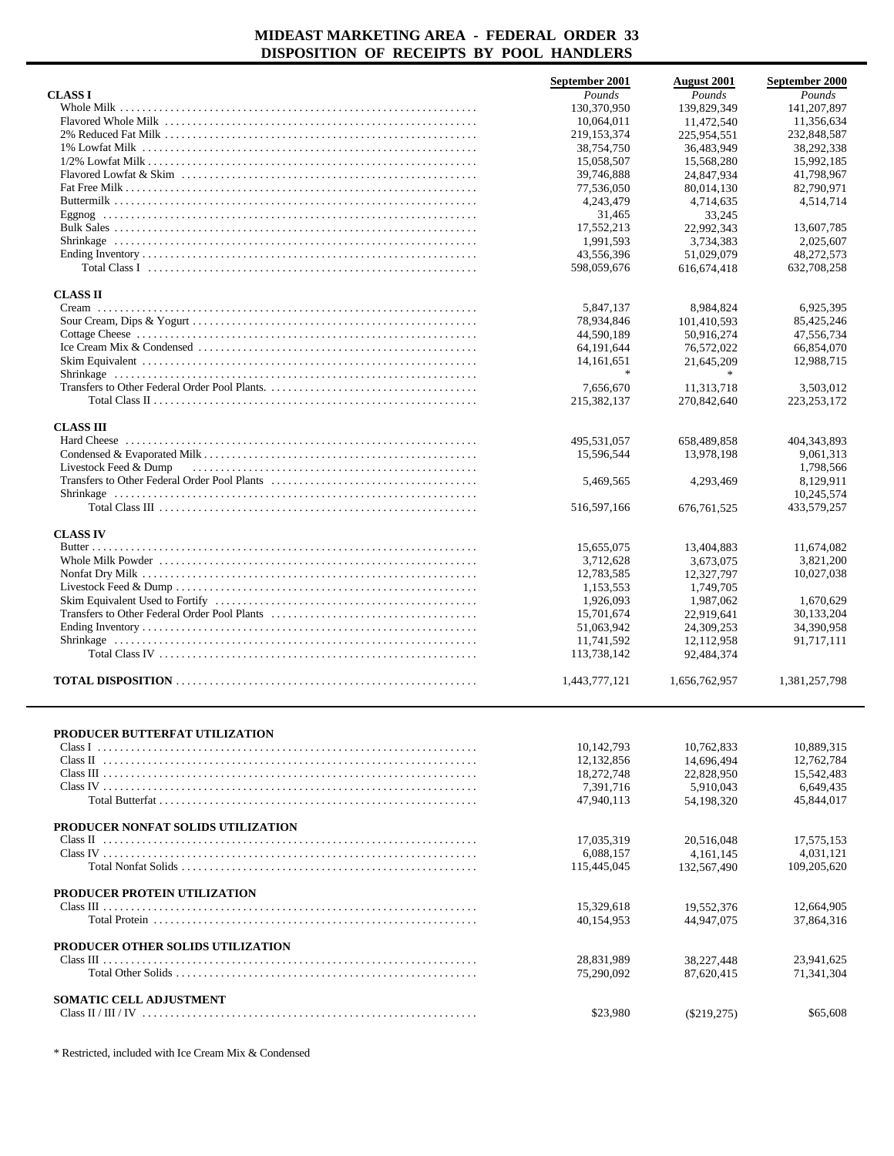|                                     | September 2001 | <b>August</b> 2001 | September 2000 |
|-------------------------------------|----------------|--------------------|----------------|
| <b>CLASS I</b>                      | Pounds         | Pounds             | Pounds         |
|                                     | 130,370,950    | 139,829,349        | 141, 207, 897  |
|                                     | 10,064,011     |                    | 11,356,634     |
|                                     |                | 11,472,540         |                |
|                                     | 219, 153, 374  | 225,954,551        | 232,848,587    |
|                                     | 38,754,750     | 36,483,949         | 38.292.338     |
|                                     | 15,058,507     | 15,568,280         | 15,992,185     |
|                                     | 39,746,888     | 24,847,934         | 41,798,967     |
|                                     | 77,536,050     | 80,014,130         | 82,790,971     |
|                                     | 4,243,479      | 4,714,635          | 4,514,714      |
|                                     | 31,465         | 33,245             |                |
|                                     | 17,552,213     | 22,992,343         | 13,607,785     |
|                                     | 1.991.593      | 3.734.383          | 2,025,607      |
|                                     | 43,556,396     | 51,029,079         | 48,272,573     |
|                                     | 598,059,676    | 616, 674, 418      | 632,708,258    |
| <b>CLASS II</b>                     |                |                    |                |
|                                     | 5,847,137      | 8,984,824          | 6,925,395      |
|                                     | 78,934,846     | 101,410,593        | 85,425,246     |
|                                     | 44,590,189     | 50,916,274         | 47,556,734     |
|                                     |                |                    |                |
|                                     | 64, 191, 644   | 76,572,022         | 66,854,070     |
|                                     | 14, 161, 651   | 21.645.209         | 12,988,715     |
|                                     |                |                    |                |
|                                     | 7,656,670      | 11,313,718         | 3,503,012      |
|                                     | 215,382,137    | 270,842,640        | 223, 253, 172  |
| <b>CLASS III</b>                    |                |                    |                |
|                                     | 495,531,057    | 658,489,858        | 404, 343, 893  |
|                                     | 15,596,544     | 13,978,198         | 9.061.313      |
| Livestock Feed & Dump               |                |                    | 1,798,566      |
|                                     | 5,469,565      | 4,293,469          | 8.129.911      |
|                                     |                |                    | 10,245,574     |
|                                     | 516,597,166    | 676, 761, 525      | 433,579,257    |
|                                     |                |                    |                |
| <b>CLASS IV</b>                     |                |                    |                |
|                                     | 15,655,075     | 13,404,883         | 11,674,082     |
|                                     | 3,712,628      | 3,673,075          | 3,821,200      |
|                                     | 12,783,585     | 12,327,797         | 10,027,038     |
|                                     | 1,153,553      | 1,749,705          |                |
|                                     | 1,926,093      | 1,987,062          | 1,670,629      |
|                                     | 15,701,674     | 22,919,641         | 30,133,204     |
|                                     | 51,063,942     | 24,309,253         | 34,390,958     |
|                                     |                |                    |                |
|                                     | 11,741,592     | 12,112,958         | 91,717,111     |
|                                     | 113,738,142    | 92,484,374         |                |
|                                     | 1,443,777,121  | 1,656,762,957      | 1,381,257,798  |
|                                     |                |                    |                |
| PRODUCER BUTTERFAT UTILIZATION      |                |                    |                |
|                                     | 10, 142, 793   | 10,762,833         | 10,889,315     |
|                                     | 12,132,856     | 14,696,494         | 12,762,784     |
|                                     | 18,272,748     | 22,828,950         | 15,542,483     |
|                                     | 7,391,716      | 5.910.043          | 6,649,435      |
|                                     | 47,940,113     | 54,198,320         | 45,844,017     |
| PRODUCER NONFAT SOLIDS UTILIZATION  |                |                    |                |
|                                     | 17,035,319     | 20,516,048         | 17,575,153     |
|                                     |                |                    |                |
|                                     | 6,088,157      | 4, 161, 145        | 4,031,121      |
|                                     | 115,445,045    | 132,567,490        | 109,205,620    |
| <b>PRODUCER PROTEIN UTILIZATION</b> |                |                    |                |
|                                     | 15,329,618     | 19,552,376         | 12,664,905     |
|                                     | 40,154,953     | 44,947,075         | 37,864,316     |
|                                     |                |                    |                |
| PRODUCER OTHER SOLIDS UTILIZATION   |                |                    |                |
|                                     | 28,831,989     | 38,227,448         | 23,941,625     |
|                                     | 75,290,092     | 87,620,415         | 71,341,304     |
|                                     |                |                    |                |
| SOMATIC CELL ADJUSTMENT             |                |                    |                |
|                                     | \$23,980       | $(\$219,275)$      | \$65,608       |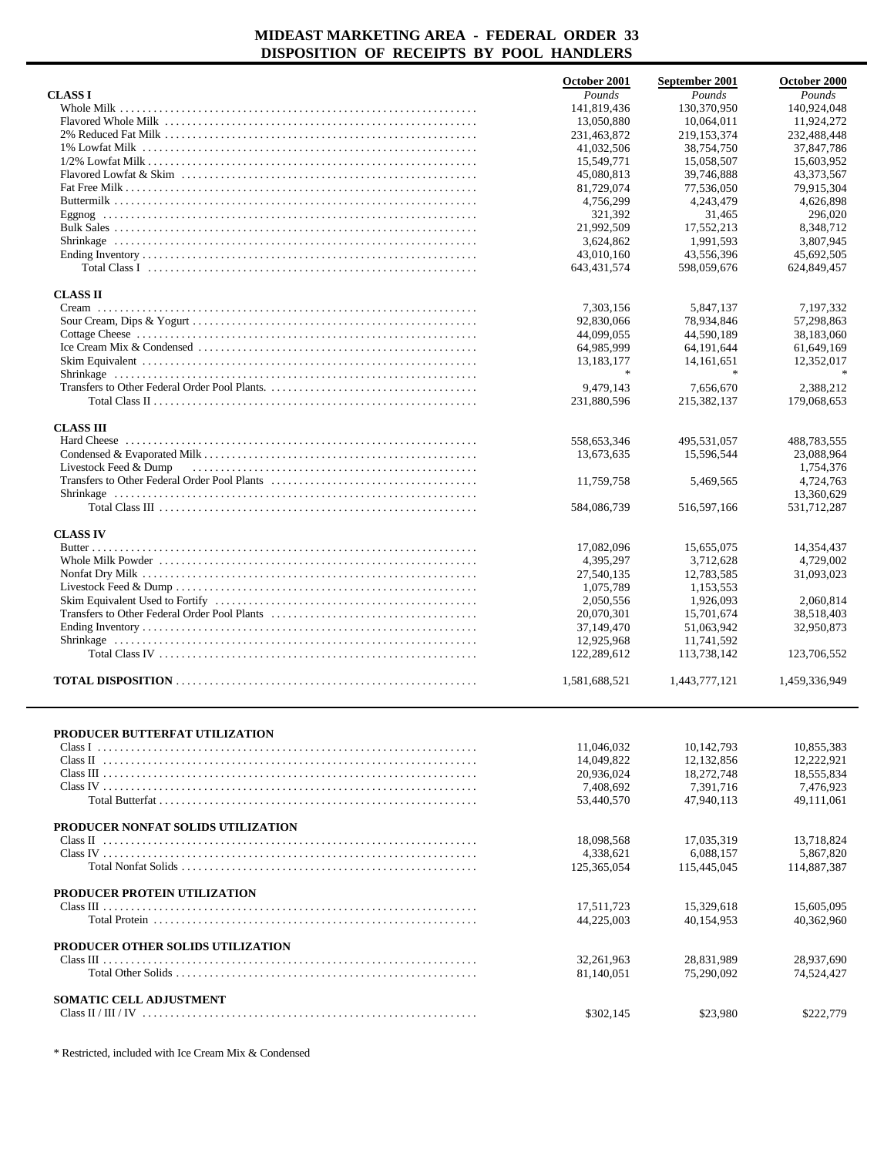|                                                                                                                                             | October 2001  | September 2001         | October 2000  |
|---------------------------------------------------------------------------------------------------------------------------------------------|---------------|------------------------|---------------|
| <b>CLASS I</b>                                                                                                                              | Pounds        | Pounds                 | Pounds        |
|                                                                                                                                             | 141,819,436   | 130,370,950            | 140,924,048   |
|                                                                                                                                             | 13,050,880    | 10,064,011             | 11,924,272    |
|                                                                                                                                             | 231,463,872   | 219, 153, 374          | 232,488,448   |
|                                                                                                                                             | 41,032,506    | 38,754,750             | 37,847,786    |
|                                                                                                                                             | 15,549,771    | 15,058,507             | 15,603,952    |
|                                                                                                                                             | 45,080,813    | 39,746,888             | 43,373,567    |
|                                                                                                                                             |               |                        |               |
|                                                                                                                                             | 81,729,074    | 77,536,050             | 79,915,304    |
|                                                                                                                                             | 4,756,299     | 4,243,479              | 4,626,898     |
|                                                                                                                                             | 321,392       | 31,465                 | 296,020       |
|                                                                                                                                             | 21,992,509    | 17,552,213             | 8,348,712     |
|                                                                                                                                             | 3,624,862     | 1.991.593              | 3,807,945     |
|                                                                                                                                             | 43,010,160    | 43,556,396             | 45,692,505    |
| Total Class I $\ldots$ $\ldots$ $\ldots$ $\ldots$ $\ldots$ $\ldots$ $\ldots$ $\ldots$ $\ldots$ $\ldots$ $\ldots$ $\ldots$ $\ldots$ $\ldots$ | 643, 431, 574 | 598,059,676            | 624,849,457   |
| <b>CLASS II</b>                                                                                                                             |               |                        |               |
|                                                                                                                                             | 7,303,156     | 5,847,137              | 7,197,332     |
|                                                                                                                                             | 92,830,066    | 78,934,846             | 57,298,863    |
|                                                                                                                                             | 44,099,055    | 44,590,189             | 38,183,060    |
|                                                                                                                                             |               | 64,191,644             | 61,649,169    |
|                                                                                                                                             | 64,985,999    |                        |               |
|                                                                                                                                             | 13,183,177    | 14, 161, 651<br>$\ast$ | 12,352,017    |
|                                                                                                                                             |               |                        |               |
|                                                                                                                                             | 9,479,143     | 7,656,670              | 2,388,212     |
|                                                                                                                                             | 231,880,596   | 215,382,137            | 179,068,653   |
| <b>CLASS III</b>                                                                                                                            |               |                        |               |
|                                                                                                                                             | 558,653,346   | 495,531,057            | 488,783,555   |
|                                                                                                                                             | 13,673,635    | 15,596,544             | 23,088,964    |
| Livestock Feed & Dump                                                                                                                       |               |                        | 1,754,376     |
|                                                                                                                                             | 11,759,758    | 5,469,565              | 4,724,763     |
|                                                                                                                                             |               |                        | 13,360,629    |
|                                                                                                                                             | 584,086,739   | 516,597,166            | 531,712,287   |
|                                                                                                                                             |               |                        |               |
| <b>CLASS IV</b>                                                                                                                             |               |                        |               |
|                                                                                                                                             | 17,082,096    | 15,655,075             | 14,354,437    |
|                                                                                                                                             | 4,395,297     | 3,712,628              | 4,729,002     |
|                                                                                                                                             | 27,540,135    | 12,783,585             | 31,093,023    |
|                                                                                                                                             | 1,075,789     | 1,153,553              |               |
|                                                                                                                                             | 2,050,556     | 1,926,093              | 2,060,814     |
|                                                                                                                                             | 20,070,301    | 15,701,674             | 38,518,403    |
|                                                                                                                                             | 37,149,470    | 51,063,942             | 32,950,873    |
|                                                                                                                                             | 12,925,968    | 11,741,592             |               |
|                                                                                                                                             | 122,289,612   | 113,738,142            | 123,706,552   |
|                                                                                                                                             |               |                        |               |
|                                                                                                                                             | 1,581,688,521 | 1,443,777,121          | 1,459,336,949 |
|                                                                                                                                             |               |                        |               |
|                                                                                                                                             |               |                        |               |
| PRODUCER BUTTERFAT UTILIZATION                                                                                                              | 11,046,032    | 10,142,793             | 10,855,383    |
|                                                                                                                                             | 14,049,822    | 12,132,856             | 12,222,921    |
|                                                                                                                                             |               |                        |               |
|                                                                                                                                             | 20,936,024    | 18,272,748             | 18,555,834    |
|                                                                                                                                             | 7,408,692     | 7,391,716              | 7,476,923     |
|                                                                                                                                             | 53,440,570    | 47,940,113             | 49,111,061    |
| PRODUCER NONFAT SOLIDS UTILIZATION                                                                                                          |               |                        |               |
|                                                                                                                                             | 18.098.568    | 17,035,319             | 13,718,824    |
|                                                                                                                                             | 4,338,621     | 6,088,157              | 5,867,820     |
|                                                                                                                                             | 125,365,054   | 115,445,045            | 114,887,387   |
|                                                                                                                                             |               |                        |               |
| PRODUCER PROTEIN UTILIZATION                                                                                                                |               |                        |               |
|                                                                                                                                             | 17,511,723    | 15,329,618             | 15,605,095    |
|                                                                                                                                             | 44,225,003    | 40,154,953             | 40,362,960    |
|                                                                                                                                             |               |                        |               |
| PRODUCER OTHER SOLIDS UTILIZATION                                                                                                           |               |                        |               |
|                                                                                                                                             | 32, 261, 963  | 28,831,989             | 28,937,690    |
|                                                                                                                                             | 81,140,051    | 75,290,092             | 74,524,427    |
|                                                                                                                                             |               |                        |               |
| <b>SOMATIC CELL ADJUSTMENT</b>                                                                                                              |               |                        |               |
|                                                                                                                                             | \$302,145     | \$23,980               | \$222,779     |
|                                                                                                                                             |               |                        |               |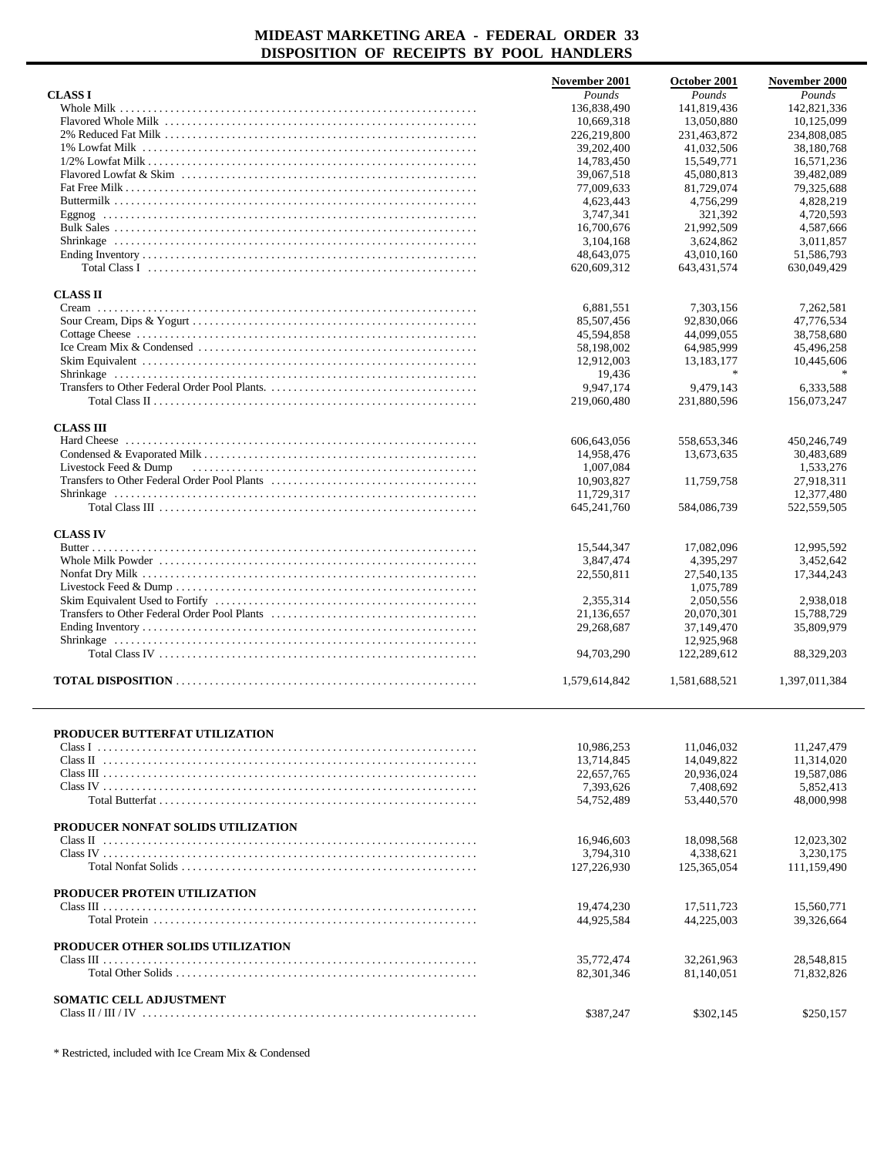|                                     | November 2001 | October 2001  | November 2000 |
|-------------------------------------|---------------|---------------|---------------|
| <b>CLASS I</b>                      | Pounds        | Pounds        | Pounds        |
|                                     | 136,838,490   | 141,819,436   | 142,821,336   |
|                                     | 10,669,318    | 13,050,880    | 10,125,099    |
|                                     | 226,219,800   | 231,463,872   | 234,808,085   |
|                                     | 39,202,400    | 41,032,506    | 38,180,768    |
|                                     | 14,783,450    | 15,549,771    | 16,571,236    |
|                                     | 39,067,518    | 45,080,813    | 39,482,089    |
|                                     | 77,009,633    | 81,729,074    | 79,325,688    |
|                                     | 4,623,443     | 4,756,299     | 4,828,219     |
|                                     | 3,747,341     | 321,392       | 4,720,593     |
|                                     | 16,700,676    | 21,992,509    | 4.587.666     |
|                                     |               |               |               |
|                                     | 3.104.168     | 3,624,862     | 3,011,857     |
|                                     | 48,643,075    | 43.010.160    | 51,586,793    |
|                                     | 620,609,312   | 643,431,574   | 630,049,429   |
| <b>CLASS II</b>                     |               |               |               |
|                                     | 6,881,551     | 7,303,156     | 7,262,581     |
|                                     | 85,507,456    | 92,830,066    | 47,776,534    |
|                                     | 45,594,858    | 44,099,055    | 38,758,680    |
|                                     | 58,198,002    | 64,985,999    | 45,496,258    |
|                                     | 12,912,003    | 13,183,177    | 10,445,606    |
|                                     | 19,436        |               |               |
|                                     | 9.947.174     | 9,479,143     | 6.333.588     |
|                                     | 219,060,480   | 231,880,596   | 156,073,247   |
|                                     |               |               |               |
| <b>CLASS III</b>                    |               |               |               |
|                                     | 606,643,056   | 558,653,346   | 450,246,749   |
|                                     | 14,958,476    | 13,673,635    | 30,483,689    |
| Livestock Feed & Dump               | 1,007,084     |               | 1,533,276     |
|                                     | 10,903,827    | 11,759,758    | 27,918,311    |
|                                     | 11,729,317    |               | 12,377,480    |
|                                     | 645,241,760   | 584,086,739   | 522,559,505   |
| <b>CLASS IV</b>                     |               |               |               |
|                                     | 15,544,347    | 17,082,096    | 12,995,592    |
|                                     | 3,847,474     | 4,395,297     | 3,452,642     |
|                                     | 22,550,811    | 27,540,135    | 17,344,243    |
|                                     |               | 1,075,789     |               |
|                                     | 2,355,314     | 2,050,556     | 2,938,018     |
|                                     | 21,136,657    | 20,070,301    | 15,788,729    |
|                                     | 29,268,687    | 37,149,470    | 35,809,979    |
|                                     |               | 12,925,968    |               |
|                                     | 94,703,290    | 122,289,612   |               |
|                                     |               |               | 88,329,203    |
|                                     | 1,579,614,842 | 1,581,688,521 | 1,397,011,384 |
|                                     |               |               |               |
| PRODUCER BUTTERFAT UTILIZATION      |               |               |               |
|                                     | 10,986,253    | 11,046,032    | 11.247.479    |
|                                     | 13,714,845    | 14,049,822    | 11,314,020    |
|                                     | 22,657,765    | 20,936,024    | 19,587,086    |
|                                     | 7,393,626     | 7.408.692     | 5,852,413     |
|                                     | 54,752,489    | 53,440,570    | 48,000,998    |
| PRODUCER NONFAT SOLIDS UTILIZATION  |               |               |               |
|                                     | 16.946.603    | 18,098,568    | 12,023,302    |
|                                     | 3,794,310     | 4,338,621     | 3,230,175     |
|                                     |               |               |               |
|                                     | 127,226,930   | 125,365,054   | 111,159,490   |
| <b>PRODUCER PROTEIN UTILIZATION</b> |               |               |               |
|                                     | 19,474,230    | 17,511,723    | 15,560,771    |
|                                     | 44,925,584    | 44,225,003    | 39,326,664    |
| PRODUCER OTHER SOLIDS UTILIZATION   |               |               |               |
|                                     | 35,772,474    | 32,261,963    | 28,548,815    |
|                                     | 82,301,346    | 81,140,051    | 71,832,826    |
|                                     |               |               |               |
| SOMATIC CELL ADJUSTMENT             |               |               |               |
|                                     | \$387,247     | \$302,145     | \$250,157     |
|                                     |               |               |               |